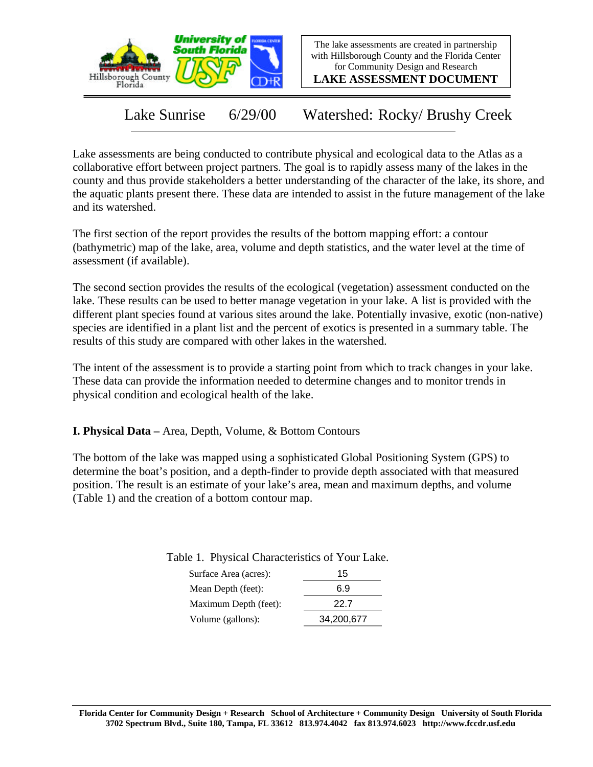

The lake assessments are created in partnership with Hillsborough County and the Florida Center for Community Design and Research

**LAKE ASSESSMENT DOCUMENT**

Lake Sunrise 6/29/00 Watershed: Rocky/ Brushy Creek

Lake assessments are being conducted to contribute physical and ecological data to the Atlas as a collaborative effort between project partners. The goal is to rapidly assess many of the lakes in the county and thus provide stakeholders a better understanding of the character of the lake, its shore, and the aquatic plants present there. These data are intended to assist in the future management of the lake and its watershed.

The first section of the report provides the results of the bottom mapping effort: a contour (bathymetric) map of the lake, area, volume and depth statistics, and the water level at the time of assessment (if available).

The second section provides the results of the ecological (vegetation) assessment conducted on the lake. These results can be used to better manage vegetation in your lake. A list is provided with the different plant species found at various sites around the lake. Potentially invasive, exotic (non-native) species are identified in a plant list and the percent of exotics is presented in a summary table. The results of this study are compared with other lakes in the watershed.

The intent of the assessment is to provide a starting point from which to track changes in your lake. These data can provide the information needed to determine changes and to monitor trends in physical condition and ecological health of the lake.

**I. Physical Data –** Area, Depth, Volume, & Bottom Contours

The bottom of the lake was mapped using a sophisticated Global Positioning System (GPS) to determine the boat's position, and a depth-finder to provide depth associated with that measured position. The result is an estimate of your lake's area, mean and maximum depths, and volume (Table 1) and the creation of a bottom contour map.

Table 1. Physical Characteristics of Your Lake.

| Surface Area (acres): | 15         |
|-----------------------|------------|
| Mean Depth (feet):    | 6.9        |
| Maximum Depth (feet): | 22 Z       |
| Volume (gallons):     | 34,200,677 |
|                       |            |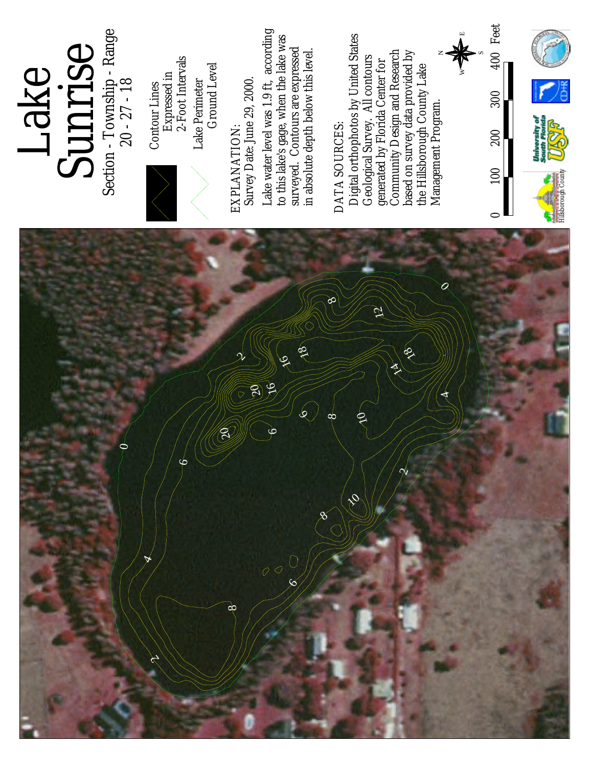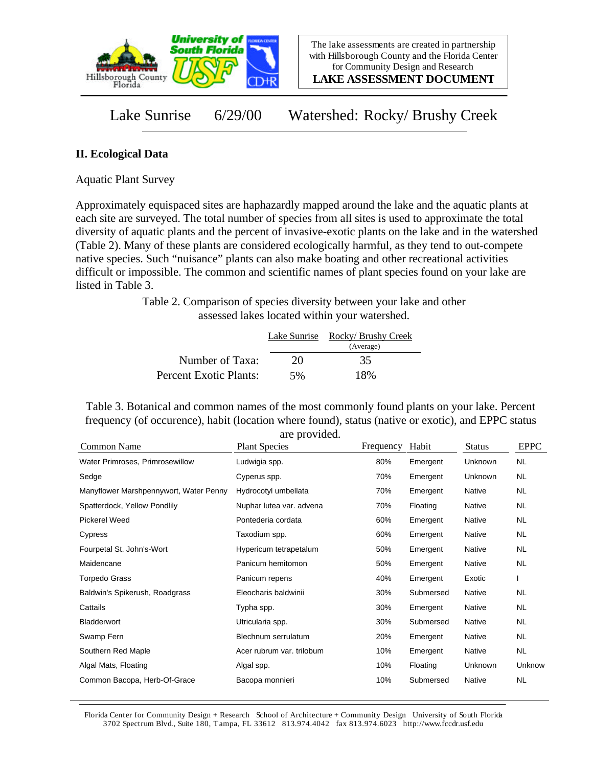

**LAKE ASSESSMENT DOCUMENT**

Lake Sunrise 6/29/00 Watershed: Rocky/ Brushy Creek

## **II. Ecological Data**

Aquatic Plant Survey

Approximately equispaced sites are haphazardly mapped around the lake and the aquatic plants at each site are surveyed. The total number of species from all sites is used to approximate the total diversity of aquatic plants and the percent of invasive-exotic plants on the lake and in the watershed (Table 2). Many of these plants are considered ecologically harmful, as they tend to out-compete native species. Such "nuisance" plants can also make boating and other recreational activities difficult or impossible. The common and scientific names of plant species found on your lake are listed in Table 3.

> Table 2. Comparison of species diversity between your lake and other assessed lakes located within your watershed.

|                        |    | Lake Sunrise Rocky/ Brushy Creek<br>(Average) |
|------------------------|----|-----------------------------------------------|
| Number of Taxa:        | 20 | 35                                            |
| Percent Exotic Plants: | 5% | 18%                                           |

Table 3. Botanical and common names of the most commonly found plants on your lake. Percent frequency (of occurence), habit (location where found), status (native or exotic), and EPPC status are provided.

| Common Name                            | are provided.<br><b>Plant Species</b> | Frequency | Habit     | <b>Status</b> | <b>EPPC</b> |
|----------------------------------------|---------------------------------------|-----------|-----------|---------------|-------------|
| Water Primroses, Primrosewillow        | Ludwigia spp.                         | 80%       | Emergent  | Unknown       | NL.         |
| Sedge                                  | Cyperus spp.                          | 70%       | Emergent  | Unknown       | <b>NL</b>   |
| Manyflower Marshpennywort, Water Penny | Hydrocotyl umbellata                  | 70%       | Emergent  | Native        | <b>NL</b>   |
| Spatterdock, Yellow Pondlily           | Nuphar lutea var. advena              | 70%       | Floating  | Native        | <b>NL</b>   |
| <b>Pickerel Weed</b>                   | Pontederia cordata                    | 60%       | Emergent  | Native        | <b>NL</b>   |
| Cypress                                | Taxodium spp.                         | 60%       | Emergent  | Native        | <b>NL</b>   |
| Fourpetal St. John's-Wort              | Hypericum tetrapetalum                | 50%       | Emergent  | Native        | <b>NL</b>   |
| Maidencane                             | Panicum hemitomon                     | 50%       | Emergent  | Native        | NL.         |
| <b>Torpedo Grass</b>                   | Panicum repens                        | 40%       | Emergent  | Exotic        |             |
| Baldwin's Spikerush, Roadgrass         | Eleocharis baldwinii                  | 30%       | Submersed | Native        | <b>NL</b>   |
| Cattails                               | Typha spp.                            | 30%       | Emergent  | Native        | NL.         |
| <b>Bladderwort</b>                     | Utricularia spp.                      | 30%       | Submersed | <b>Native</b> | NL.         |
| Swamp Fern                             | Blechnum serrulatum                   | 20%       | Emergent  | Native        | NL.         |
| Southern Red Maple                     | Acer rubrum var. trilobum             | 10%       | Emergent  | Native        | <b>NL</b>   |
| Algal Mats, Floating                   | Algal spp.                            | 10%       | Floating  | Unknown       | Unknow      |
| Common Bacopa, Herb-Of-Grace           | Bacopa monnieri                       | 10%       | Submersed | Native        | <b>NL</b>   |

Florida Center for Community Design + Research School of Architecture + Community Design University of South Florida 3702 Spectrum Blvd., Suite 180, Tampa, FL 33612 813.974.4042 fax 813.974.6023 http://www.fccdr.usf.edu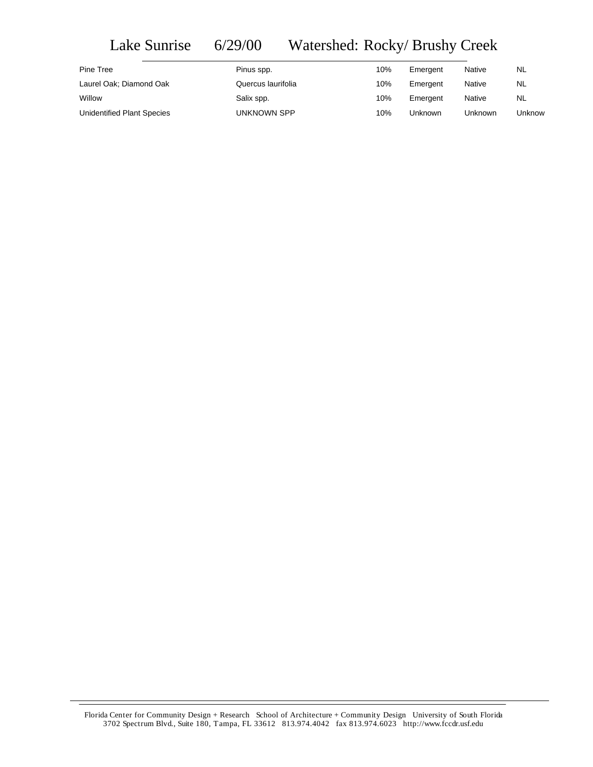## Lake Sunrise 6/29/00 Watershed: Rocky/ Brushy Creek

| Pine Tree                         | Pinus spp.         | 10% | Emergent | <b>Native</b> | NL     |
|-----------------------------------|--------------------|-----|----------|---------------|--------|
| Laurel Oak; Diamond Oak           | Quercus laurifolia | 10% | Emergent | <b>Native</b> | NL     |
| Willow                            | Salix spp.         | 10% | Emergent | Native        | NL     |
| <b>Unidentified Plant Species</b> | UNKNOWN SPP        | 10% | Unknown  | Unknown       | Unknow |

Florida Center for Community Design + Research School of Architecture + Community Design University of South Florida 3702 Spectrum Blvd., Suite 180, Tampa, FL 33612 813.974.4042 fax 813.974.6023 http://www.fccdr.usf.edu